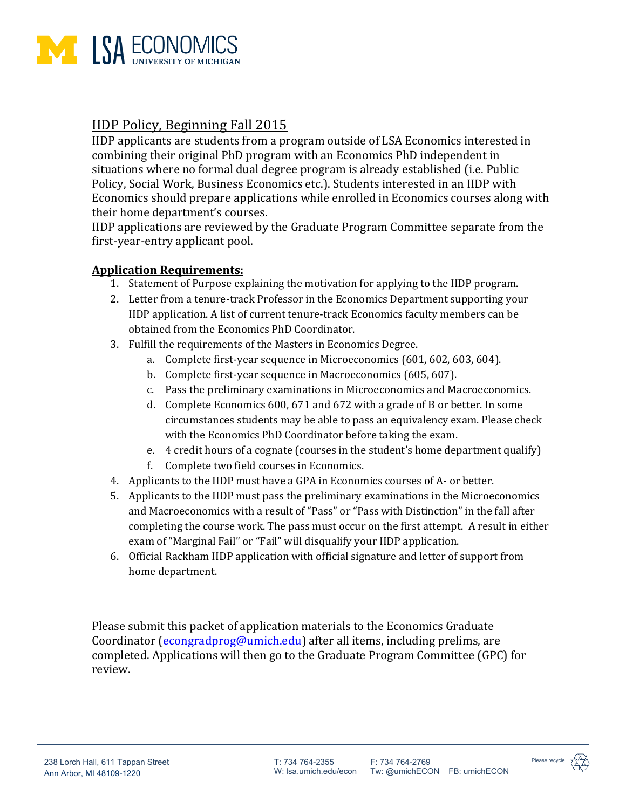

## IIDP Policy, Beginning Fall 2015

IIDP applicants are students from a program outside of LSA Economics interested in combining their original PhD program with an Economics PhD independent in situations where no formal dual degree program is already established (i.e. Public Policy, Social Work, Business Economics etc.). Students interested in an IIDP with Economics should prepare applications while enrolled in Economics courses along with their home department's courses.

IIDP applications are reviewed by the Graduate Program Committee separate from the first-year-entry applicant pool.

## **Application Requirements:**

- 1. Statement of Purpose explaining the motivation for applying to the IIDP program.
- 2. Letter from a tenure-track Professor in the Economics Department supporting your IIDP application. A list of current tenure-track Economics faculty members can be obtained from the Economics PhD Coordinator.
- 3. Fulfill the requirements of the Masters in Economics Degree.
	- a. Complete first-year sequence in Microeconomics (601, 602, 603, 604).
	- b. Complete first-year sequence in Macroeconomics (605, 607).
	- c. Pass the preliminary examinations in Microeconomics and Macroeconomics.
	- d. Complete Economics 600, 671 and 672 with a grade of B or better. In some circumstances students may be able to pass an equivalency exam. Please check with the Economics PhD Coordinator before taking the exam.
	- e. 4 credit hours of a cognate (courses in the student's home department qualify)
	- f. Complete two field courses in Economics.
- 4. Applicants to the IIDP must have a GPA in Economics courses of A- or better.
- 5. Applicants to the IIDP must pass the preliminary examinations in the Microeconomics and Macroeconomics with a result of "Pass" or "Pass with Distinction" in the fall after completing the course work. The pass must occur on the first attempt. A result in either exam of "Marginal Fail" or "Fail" will disqualify your IIDP application.
- 6. Official Rackham IIDP application with official signature and letter of support from home department.

Please submit this packet of application materials to the Economics Graduate Coordinator [\(econgradprog@umich.edu\)](mailto:econgradprog@umich.edu) after all items, including prelims, are completed. Applications will then go to the Graduate Program Committee (GPC) for review.